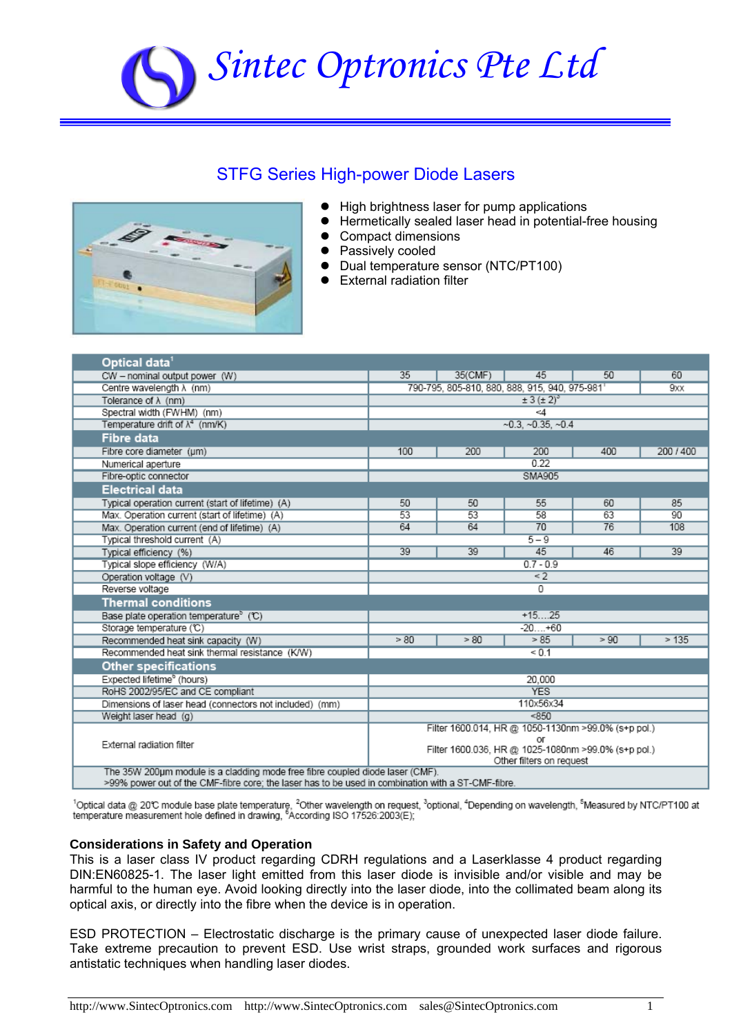# *Sintec Optronics Pte Ltd*

## STFG Series High-power Diode Lasers



- High brightness laser for pump applications
- **•** Hermetically sealed laser head in potential-free housing
- Compact dimensions
- Passively cooled
- Dual temperature sensor (NTC/PT100)
- $\bullet$  External radiation filter

| Optical data <sup>1</sup>                                                                                 |                                                      |                                 |      |      |         |  |  |
|-----------------------------------------------------------------------------------------------------------|------------------------------------------------------|---------------------------------|------|------|---------|--|--|
| CW - nominal output power (W)                                                                             | 35                                                   | 35(CMF)                         | 45   | 50   | 60      |  |  |
| Centre wavelength $\lambda$ (nm)                                                                          | 790-795, 805-810, 880, 888, 915, 940, 975-981<br>9xx |                                 |      |      |         |  |  |
| Tolerance of $\lambda$ (nm)                                                                               |                                                      | $\pm$ 3 ( $\pm$ 2) <sup>3</sup> |      |      |         |  |  |
| Spectral width (FWHM) (nm)                                                                                |                                                      | -4                              |      |      |         |  |  |
| Temperature drift of $\lambda^4$ (nm/K)                                                                   | $-0.3, -0.35, -0.4$                                  |                                 |      |      |         |  |  |
| <b>Fibre data</b>                                                                                         |                                                      |                                 |      |      |         |  |  |
| Fibre core diameter (um)                                                                                  | 100                                                  | 200                             | 200  | 400  | 200/400 |  |  |
| Numerical aperture                                                                                        | 0.22                                                 |                                 |      |      |         |  |  |
| Fibre-optic connector                                                                                     | <b>SMA905</b>                                        |                                 |      |      |         |  |  |
| <b>Electrical data</b>                                                                                    |                                                      |                                 |      |      |         |  |  |
| Typical operation current (start of lifetime) (A)                                                         | 50                                                   | 50                              | 55   | 60   | 85      |  |  |
| Max. Operation current (start of lifetime) (A)                                                            | 53                                                   | 53                              | 58   | 63   | 90      |  |  |
| Max. Operation current (end of lifetime) (A)                                                              | 64                                                   | 64                              | 70   | 76   | 108     |  |  |
| Typical threshold current (A)                                                                             | $5 - 9$                                              |                                 |      |      |         |  |  |
| Typical efficiency (%)                                                                                    | 39                                                   | 39                              | 45   | 46   | 39      |  |  |
| Typical slope efficiency (W/A)                                                                            | $0.7 - 0.9$                                          |                                 |      |      |         |  |  |
| Operation voltage (V)                                                                                     | $\leq$ 2                                             |                                 |      |      |         |  |  |
| Reverse voltage                                                                                           | 0                                                    |                                 |      |      |         |  |  |
| <b>Thermal conditions</b>                                                                                 |                                                      |                                 |      |      |         |  |  |
| Base plate operation temperature <sup>5</sup> (C)                                                         | $+1525$                                              |                                 |      |      |         |  |  |
| Storage temperature (°C)                                                                                  | $-20+60$                                             |                                 |      |      |         |  |  |
| Recommended heat sink capacity (W)                                                                        | >80                                                  | >80                             | > 85 | > 90 | >135    |  |  |
| Recommended heat sink thermal resistance (K/W)                                                            | < 0.1                                                |                                 |      |      |         |  |  |
| <b>Other specifications</b>                                                                               |                                                      |                                 |      |      |         |  |  |
| Expected lifetime <sup>b</sup> (hours)                                                                    | 20.000                                               |                                 |      |      |         |  |  |
| RoHS 2002/95/EC and CE compliant                                                                          | <b>YES</b>                                           |                                 |      |      |         |  |  |
| Dimensions of laser head (connectors not included) (mm)                                                   | 110x56x34                                            |                                 |      |      |         |  |  |
| Weight laser head (g)                                                                                     |                                                      | < 850                           |      |      |         |  |  |
|                                                                                                           | Filter 1600.014, HR @ 1050-1130nm >99.0% (s+p pol.)  |                                 |      |      |         |  |  |
| External radiation filter                                                                                 | or                                                   |                                 |      |      |         |  |  |
|                                                                                                           | Filter 1600.036, HR @ 1025-1080nm >99.0% (s+p pol.)  |                                 |      |      |         |  |  |
| Other filters on request<br>The 35W 200um module is a cladding mode free fibre coupled diode laser (CMF). |                                                      |                                 |      |      |         |  |  |
| >99% nower out of the CME-fibre core: the laser has to be used in combination with a ST-CME-fibre         |                                                      |                                 |      |      |         |  |  |

 $^1$ Optical data @ 20℃ module base plate temperature, <sup>2</sup>Other wavelength on request, <sup>3</sup>optional, <sup>4</sup>Depending on wavelength, <sup>s</sup>Measured by NTC/PT100 at<br>temperature measurement hole defined in drawing, <sup>6</sup>According ISO

#### **Considerations in Safety and Operation**

This is a laser class IV product regarding CDRH regulations and a Laserklasse 4 product regarding DIN:EN60825-1. The laser light emitted from this laser diode is invisible and/or visible and may be harmful to the human eye. Avoid looking directly into the laser diode, into the collimated beam along its optical axis, or directly into the fibre when the device is in operation.

ESD PROTECTION – Electrostatic discharge is the primary cause of unexpected laser diode failure. Take extreme precaution to prevent ESD. Use wrist straps, grounded work surfaces and rigorous antistatic techniques when handling laser diodes.